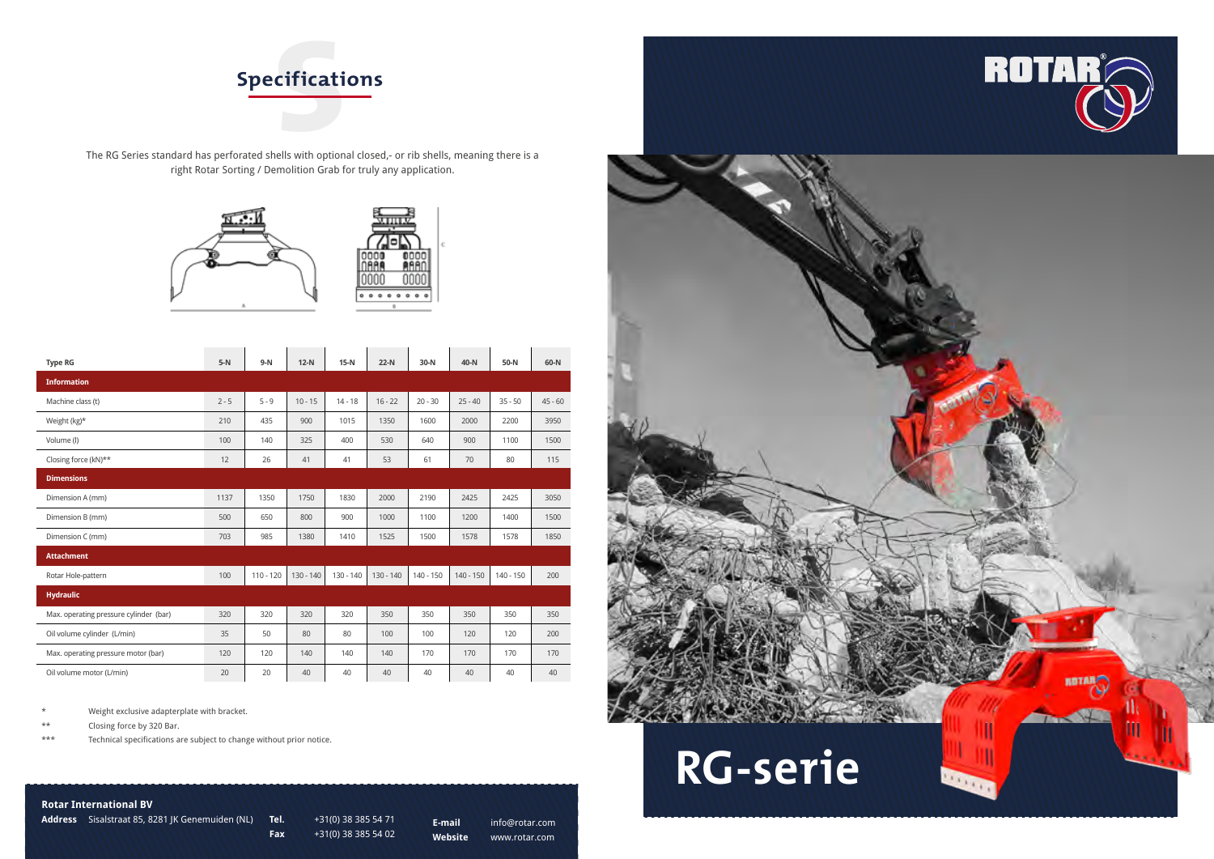



## **Rotar International BV**

**Address** Sisalstraat 85, 8281 JK Genemuiden (NL) **Tel.** +31(0) 38 385 54 71

**Fax** +31(0) 38 385 54 02

**E-mail** info@rotar.com **Website** www.rotar.com



The RG Series standard has perforated shells with optional closed,- or rib shells, meaning there is a right Rotar Sorting / Demolition Grab for truly any application.





\* Weight exclusive adapterplate with bracket.

\*\* Closing force by 320 Bar.

\*\*\* Technical specifications are subject to change without prior notice.

| <b>Type RG</b>                         | $5-N$   | $9-N$       | $12-N$      | $15-N$    | $22-N$      | $30-N$    | 40-N        | 50-N        | 60-N      |
|----------------------------------------|---------|-------------|-------------|-----------|-------------|-----------|-------------|-------------|-----------|
| <b>Information</b>                     |         |             |             |           |             |           |             |             |           |
| Machine class (t)                      | $2 - 5$ | $5 - 9$     | $10 - 15$   | $14 - 18$ | $16 - 22$   | $20 - 30$ | $25 - 40$   | $35 - 50$   | $45 - 60$ |
| Weight $(kg)^*$                        | 210     | 435         | 900         | 1015      | 1350        | 1600      | 2000        | 2200        | 3950      |
| Volume (l)                             | 100     | 140         | 325         | 400       | 530         | 640       | 900         | 1100        | 1500      |
| Closing force (kN)**                   | 12      | 26          | 41          | 41        | 53          | 61        | 70          | 80          | 115       |
| <b>Dimensions</b>                      |         |             |             |           |             |           |             |             |           |
| Dimension A (mm)                       | 1137    | 1350        | 1750        | 1830      | 2000        | 2190      | 2425        | 2425        | 3050      |
| Dimension B (mm)                       | 500     | 650         | 800         | 900       | 1000        | 1100      | 1200        | 1400        | 1500      |
| Dimension C (mm)                       | 703     | 985         | 1380        | 1410      | 1525        | 1500      | 1578        | 1578        | 1850      |
| <b>Attachment</b>                      |         |             |             |           |             |           |             |             |           |
| Rotar Hole-pattern                     | 100     | $110 - 120$ | $130 - 140$ | 130 - 140 | $130 - 140$ | 140 - 150 | $140 - 150$ | $140 - 150$ | 200       |
| <b>Hydraulic</b>                       |         |             |             |           |             |           |             |             |           |
| Max. operating pressure cylinder (bar) | 320     | 320         | 320         | 320       | 350         | 350       | 350         | 350         | 350       |
| Oil volume cylinder (L/min)            | 35      | 50          | 80          | 80        | 100         | 100       | 120         | 120         | 200       |
| Max. operating pressure motor (bar)    | 120     | 120         | 140         | 140       | 140         | 170       | 170         | 170         | 170       |
| Oil volume motor (L/min)               | 20      | 20          | 40          | 40        | 40          | 40        | 40          | 40          | 40        |